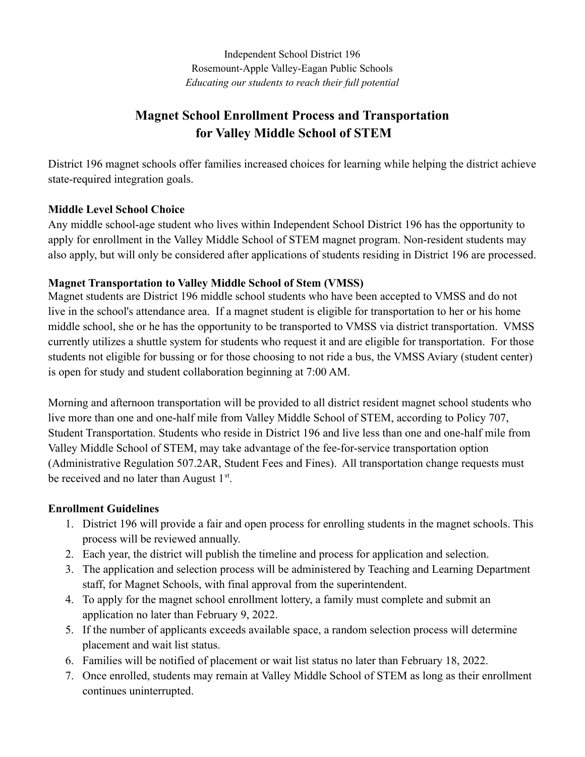Independent School District 196 Rosemount-Apple Valley-Eagan Public Schools *Educating our students to reach their full potential*

# **Magnet School Enrollment Process and Transportation for Valley Middle School of STEM**

District 196 magnet schools offer families increased choices for learning while helping the district achieve state-required integration goals.

# **Middle Level School Choice**

Any middle school-age student who lives within Independent School District 196 has the opportunity to apply for enrollment in the Valley Middle School of STEM magnet program. Non-resident students may also apply, but will only be considered after applications of students residing in District 196 are processed.

# **Magnet Transportation to Valley Middle School of Stem (VMSS)**

Magnet students are District 196 middle school students who have been accepted to VMSS and do not live in the school's attendance area. If a magnet student is eligible for transportation to her or his home middle school, she or he has the opportunity to be transported to VMSS via district transportation. VMSS currently utilizes a shuttle system for students who request it and are eligible for transportation. For those students not eligible for bussing or for those choosing to not ride a bus, the VMSS Aviary (student center) is open for study and student collaboration beginning at 7:00 AM.

Morning and afternoon transportation will be provided to all district resident magnet school students who live more than one and one-half mile from Valley Middle School of STEM, according to Policy 707, Student Transportation. Students who reside in District 196 and live less than one and one-half mile from Valley Middle School of STEM, may take advantage of the fee-for-service transportation option (Administrative Regulation 507.2AR, Student Fees and Fines). All transportation change requests must be received and no later than August  $1<sup>st</sup>$ .

# **Enrollment Guidelines**

- 1. District 196 will provide a fair and open process for enrolling students in the magnet schools. This process will be reviewed annually.
- 2. Each year, the district will publish the timeline and process for application and selection.
- 3. The application and selection process will be administered by Teaching and Learning Department staff, for Magnet Schools, with final approval from the superintendent.
- 4. To apply for the magnet school enrollment lottery, a family must complete and submit an application no later than February 9, 2022.
- 5. If the number of applicants exceeds available space, a random selection process will determine placement and wait list status.
- 6. Families will be notified of placement or wait list status no later than February 18, 2022.
- 7. Once enrolled, students may remain at Valley Middle School of STEM as long as their enrollment continues uninterrupted.